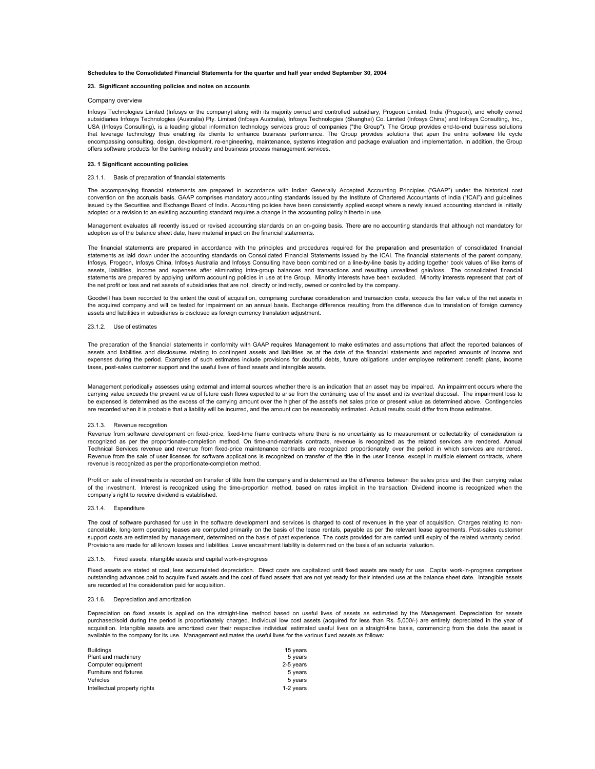### **Schedules to the Consolidated Financial Statements for the quarter and half year ended September 30, 2004**

#### **23. Significant accounting policies and notes on accounts**

### Company overview

Infosys Technologies Limited (Infosys or the company) along with its majority owned and controlled subsidiary, Progeon Limited, India (Progeon), and wholly owned subsidiaries Infosys Technologies (Australia) Pty. Limited (Infosys Australia), Infosys Technologies (Shanghai) Co. Limited (Infosys China) and Infosys Consulting, Inc., USA (Infosys Consulting), is a leading global information technology services group of companies ("the Group"). The Group provides end-to-end business solutions that leverage technology thus enabling its clients to enhance business performance. The Group provides solutions that span the entire software life cycle encompassing consulting, design, development, re-engineering, maintenance, systems integration and package evaluation and implementation. In addition, the Group offers software products for the banking industry and business process management services.

#### **23. 1 Significant accounting policies**

#### 23.1.1. Basis of preparation of financial statements

The accompanying financial statements are prepared in accordance with Indian Generally Accepted Accounting Principles ("GAAP") under the historical cost convention on the accruals basis. GAAP comprises mandatory accounting standards issued by the Institute of Chartered Accountants of India ("ICAI") and guidelines issued by the Securities and Exchange Board of India. Accounting policies have been consistently applied except where a newly issued accounting standard is initially adopted or a revision to an existing accounting standard requires a change in the accounting policy hitherto in use.

Management evaluates all recently issued or revised accounting standards on an on-going basis. There are no accounting standards that although not mandatory for adoption as of the balance sheet date, have material impact on the financial statements.

The financial statements are prepared in accordance with the principles and procedures required for the preparation and presentation of consolidated financial statements as laid down under the accounting standards on Consolidated Financial Statements issued by the ICAI. The financial statements of the parent company, Infosys, Progeon, Infosys China, Infosys Australia and Infosys Consulting have been combined on a line-by-line basis by adding together book values of like items of assets, liabilities, income and expenses after eliminating intra-group balances and transactions and resulting unrealized gain/loss. The consolidated financial statements are prepared by applying uniform accounting policies in use at the Group. Minority interests have been excluded. Minority interests represent that part of the net profit or loss and net assets of subsidiaries that are not, directly or indirectly, owned or controlled by the company.

Goodwill has been recorded to the extent the cost of acquisition, comprising purchase consideration and transaction costs, exceeds the fair value of the net assets in the acquired company and will be tested for impairment on an annual basis. Exchange difference resulting from the difference due to translation of foreign currency assets and liabilities in subsidiaries is disclosed as foreign currency translation adjustment.

## 23.1.2. Use of estimates

The preparation of the financial statements in conformity with GAAP requires Management to make estimates and assumptions that affect the reported balances of assets and liabilities and disclosures relating to contingent assets and liabilities as at the date of the financial statements and reported amounts of income and expenses during the period. Examples of such estimates include provisions for doubtful debts, future obligations under employee retirement benefit plans, income taxes, post-sales customer support and the useful lives of fixed assets and intangible assets.

Management periodically assesses using external and internal sources whether there is an indication that an asset may be impaired. An impairment occurs where the carrying value exceeds the present value of future cash flows expected to arise from the continuing use of the asset and its eventual disposal. The impairment loss to be expensed is determined as the excess of the carrying amount over the higher of the asset's net sales price or present value as determined above. Contingencies are recorded when it is probable that a liability will be incurred, and the amount can be reasonably estimated. Actual results could differ from those estimates.

## 23.1.3. Revenue recognition

Revenue from software development on fixed-price, fixed-time frame contracts where there is no uncertainty as to measurement or collectability of consideration is recognized as per the proportionate-completion method. On time-and-materials contracts, revenue is recognized as the related services are rendered. Annual Technical Services revenue and revenue from fixed-price maintenance contracts are recognized proportionately over the period in which services are rendered. Revenue from the sale of user licenses for software applications is recognized on transfer of the title in the user license, except in multiple element contracts, where revenue is recognized as per the proportionate-completion method.

Profit on sale of investments is recorded on transfer of title from the company and is determined as the difference between the sales price and the then carrying value of the investment. Interest is recognized using the time-proportion method, based on rates implicit in the transaction. Dividend income is recognized when the company's right to receive dividend is established.

#### 23.1.4. Expenditure

The cost of software purchased for use in the software development and services is charged to cost of revenues in the year of acquisition. Charges relating to noncancelable, long-term operating leases are computed primarily on the basis of the lease rentals, payable as per the relevant lease agreements. Post-sales customer support costs are estimated by management, determined on the basis of past experience. The costs provided for are carried until expiry of the related warranty period. Provisions are made for all known losses and liabilities. Leave encashment liability is determined on the basis of an actuarial valuation.

## 23.1.5. Fixed assets, intangible assets and capital work-in-progress

Fixed assets are stated at cost, less accumulated depreciation. Direct costs are capitalized until fixed assets are ready for use. Capital work-in-progress comprises outstanding advances paid to acquire fixed assets and the cost of fixed assets that are not yet ready for their intended use at the balance sheet date. Intangible assets are recorded at the consideration paid for acquisition.

## 23.1.6. Depreciation and amortization

Depreciation on fixed assets is applied on the straight-line method based on useful lives of assets as estimated by the Management. Depreciation for assets purchased/sold during the period is proportionately charged. Individual low cost assets (acquired for less than Rs. 5,000/-) are entirely depreciated in the year of acquisition. Intangible assets are amortized over their respective individual estimated useful lives on a straight-line basis, commencing from the date the asset is available to the company for its use. Management estimates the useful lives for the various fixed assets as follows:

| 15 years  |
|-----------|
| 5 years   |
| 2-5 years |
| 5 years   |
| 5 years   |
| 1-2 years |
|           |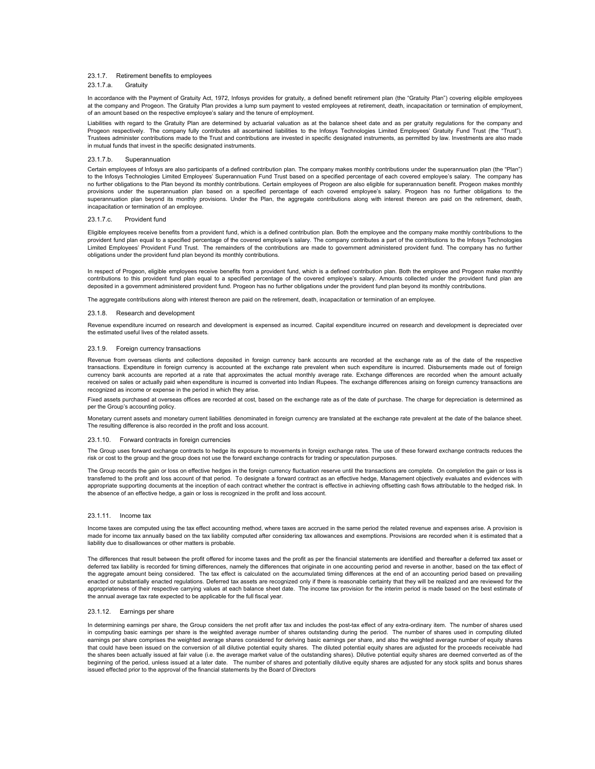## 23.1.7. Retirement benefits to employees

## 23.1.7.a. Gratuity

In accordance with the Payment of Gratuity Act, 1972, Infosys provides for gratuity, a defined benefit retirement plan (the "Gratuity Plan") covering eligible employees at the company and Progeon. The Gratuity Plan provides a lump sum payment to vested employees at retirement, death, incapacitation or termination of employment, of an amount based on the respective employee's salary and the tenure of employment.

Liabilities with regard to the Gratuity Plan are determined by actuarial valuation as at the balance sheet date and as per gratuity regulations for the company and Progeon respectively. The company fully contributes all ascertained liabilities to the Infosys Technologies Limited Employees' Gratuity Fund Trust (the "Trust"). Trustees administer contributions made to the Trust and contributions are invested in specific designated instruments, as permitted by law. Investments are also made in mutual funds that invest in the specific designated instruments.

### 23.1.7.b. Superannuation

Certain employees of Infosys are also participants of a defined contribution plan. The company makes monthly contributions under the superannuation plan (the "Plan") to the Infosys Technologies Limited Employees' Superannuation Fund Trust based on a specified percentage of each covered employee's salary. The company has no further obligations to the Plan beyond its monthly contributions. Certain employees of Progeon are also eligible for superannuation benefit. Progeon makes monthly provisions under the superannuation plan based on a specified percentage of each covered employee's salary. Progeon has no further obligations to the superannuation plan beyond its monthly provisions. Under the Plan, the aggregate contributions along with interest thereon are paid on the retirement, death, incapacitation or termination of an employee.

#### 23.1.7.c. Provident fund

Eligible employees receive benefits from a provident fund, which is a defined contribution plan. Both the employee and the company make monthly contributions to the provident fund plan equal to a specified percentage of the covered employee's salary. The company contributes a part of the contributions to the Infosys Technologies Limited Employees' Provident Fund Trust. The remainders of the contributions are made to government administered provident fund. The company has no further obligations under the provident fund plan beyond its monthly contributions.

In respect of Progeon, eligible employees receive benefits from a provident fund, which is a defined contribution plan. Both the employee and Progeon make monthly contributions to this provident fund plan equal to a specified percentage of the covered employee's salary. Amounts collected under the provident fund plan are deposited in a government administered provident fund. Progeon has no further obligations under the provident fund plan beyond its monthly contributions.

The aggregate contributions along with interest thereon are paid on the retirement, death, incapacitation or termination of an employee.

### 23.1.8. Research and development

Revenue expenditure incurred on research and development is expensed as incurred. Capital expenditure incurred on research and development is depreciated over the estimated useful lives of the related assets.

## 23.1.9. Foreign currency transactions

Revenue from overseas clients and collections deposited in foreign currency bank accounts are recorded at the exchange rate as of the date of the respective transactions. Expenditure in foreign currency is accounted at the exchange rate prevalent when such expenditure is incurred. Disbursements made out of foreign currency bank accounts are reported at a rate that approximates the actual monthly average rate. Exchange differences are recorded when the amount actually received on sales or actually paid when expenditure is incurred is converted into Indian Rupees. The exchange differences arising on foreign currency transactions are recognized as income or expense in the period in which they arise.

Fixed assets purchased at overseas offices are recorded at cost, based on the exchange rate as of the date of purchase. The charge for depreciation is determined as per the Group's accounting policy.

Monetary current assets and monetary current liabilities denominated in foreign currency are translated at the exchange rate prevalent at the date of the balance sheet. The resulting difference is also recorded in the profit and loss account.

#### 23.1.10. Forward contracts in foreign currencies

The Group uses forward exchange contracts to hedge its exposure to movements in foreign exchange rates. The use of these forward exchange contracts reduces the risk or cost to the group and the group does not use the forward exchange contracts for trading or speculation purposes.

The Group records the gain or loss on effective hedges in the foreign currency fluctuation reserve until the transactions are complete. On completion the gain or loss is transferred to the profit and loss account of that period. To designate a forward contract as an effective hedge, Management objectively evaluates and evidences with appropriate supporting documents at the inception of each contract whether the contract is effective in achieving offsetting cash flows attributable to the hedged risk. In the absence of an effective hedge, a gain or loss is recognized in the profit and loss account.

### 23.1.11. Income tax

Income taxes are computed using the tax effect accounting method, where taxes are accrued in the same period the related revenue and expenses arise. A provision is made for income tax annually based on the tax liability computed after considering tax allowances and exemptions. Provisions are recorded when it is estimated that a liability due to disallowances or other matters is probable.

The differences that result between the profit offered for income taxes and the profit as per the financial statements are identified and thereafter a deferred tax asset or deferred tax liability is recorded for timing differences, namely the differences that originate in one accounting period and reverse in another, based on the tax effect of the aggregate amount being considered. The tax effect is calculated on the accumulated timing differences at the end of an accounting period based on prevailing enacted or substantially enacted regulations. Deferred tax assets are recognized only if there is reasonable certainty that they will be realized and are reviewed for the appropriateness of their respective carrying values at each balance sheet date. The income tax provision for the interim period is made based on the best estimate of the annual average tax rate expected to be applicable for the full fiscal year.

#### 23.1.12. Earnings per share

In determining earnings per share, the Group considers the net profit after tax and includes the post-tax effect of any extra-ordinary item. The number of shares used in computing basic earnings per share is the weighted average number of shares outstanding during the period. The number of shares used in computing diluted earnings per share comprises the weighted average shares considered for deriving basic earnings per share, and also the weighted average number of equity shares that could have been issued on the conversion of all dilutive potential equity shares. The diluted potential equity shares are adjusted for the proceeds receivable had the shares been actually issued at fair value (i.e. the average market value of the outstanding shares). Dilutive potential equity shares are deemed converted as of the<br>beginning of the period, unless issued at a later dat issued effected prior to the approval of the financial statements by the Board of Directors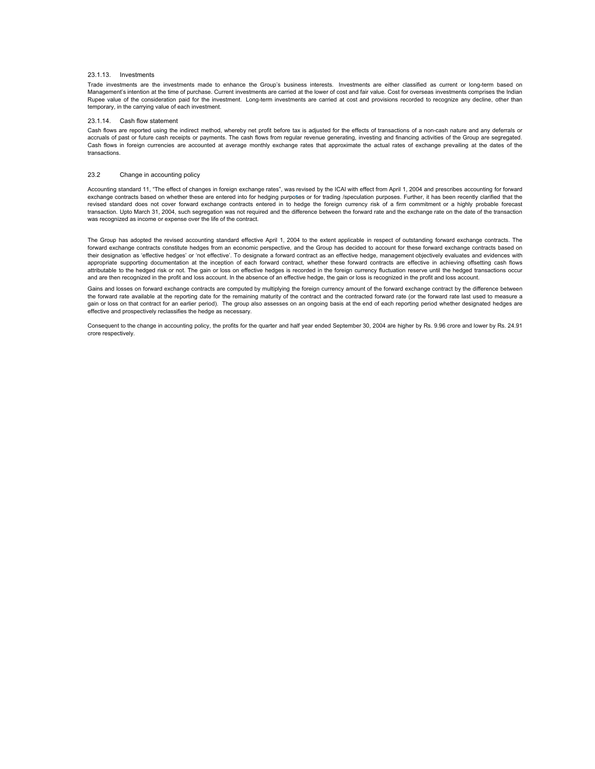## 23.1.13. Investments

Trade investments are the investments made to enhance the Group's business interests. Investments are either classified as current or long-term based on Management's intention at the time of purchase. Current investments are carried at the lower of cost and fair value. Cost for overseas investments comprises the Indian Rupee value of the consideration paid for the investment. Long-term investments are carried at cost and provisions recorded to recognize any decline, other than temporary, in the carrying value of each investment.

## 23.1.14 Cash flow statement

Cash flows are reported using the indirect method, whereby net profit before tax is adjusted for the effects of transactions of a non-cash nature and any deferrals or accruals of past or future cash receipts or payments. The cash flows from regular revenue generating, investing and financing activities of the Group are segregated. Cash flows in foreign currencies are accounted at average monthly exchange rates that approximate the actual rates of exchange prevailing at the dates of the transactions.

## 23.2 Change in accounting policy

Accounting standard 11, "The effect of changes in foreign exchange rates", was revised by the ICAI with effect from April 1, 2004 and prescribes accounting for forward exchange contracts based on whether these are entered into for hedging purposes or for trading /speculation purposes. Further, it has been recently clarified that the revised standard does not cover forward exchange contracts entered in to hedge the foreign currency risk of a firm commitment or a highly probable forecast transaction. Upto March 31, 2004, such segregation was not required and the difference between the forward rate and the exchange rate on the date of the transaction was recognized as income or expense over the life of the contract.

The Group has adopted the revised accounting standard effective April 1, 2004 to the extent applicable in respect of outstanding forward exchange contracts. The forward exchange contracts constitute hedges from an economic perspective, and the Group has decided to account for these forward exchange contracts based on their designation as 'effective hedges' or 'not effective'. To designate a forward contract as an effective hedge, management objectively evaluates and evidences with appropriate supporting documentation at the inception of each forward contract, whether these forward contracts are effective in achieving offsetting cash flows attributable to the hedged risk or not. The gain or loss on effective hedges is recorded in the foreign currency fluctuation reserve until the hedged transactions occur and are then recognized in the profit and loss account. In the absence of an effective hedge, the gain or loss is recognized in the profit and loss account.

Gains and losses on forward exchange contracts are computed by multiplying the foreign currency amount of the forward exchange contract by the difference between the forward rate available at the reporting date for the remaining maturity of the contract and the contracted forward rate (or the forward rate last used to measure a gain or loss on that contract for an earlier period). The group also assesses on an ongoing basis at the end of each reporting period whether designated hedges are effective and prospectively reclassifies the hedge as necessary.

Consequent to the change in accounting policy, the profits for the quarter and half year ended September 30, 2004 are higher by Rs. 9.96 crore and lower by Rs. 24.91 crore respectively.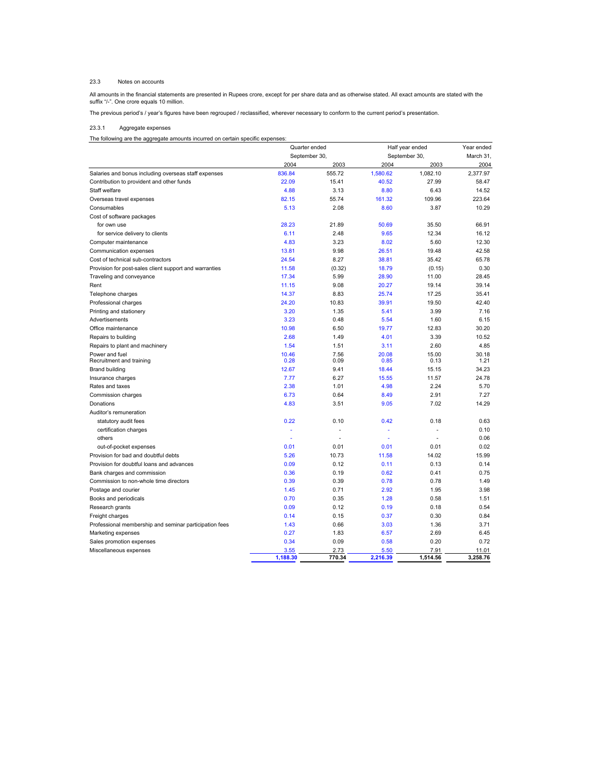#### 23.3 Notes on accounts

All amounts in the financial statements are presented in Rupees crore, except for per share data and as otherwise stated. All exact amounts are stated with the<br>suffix "/-". One crore equals 10 million.

The previous period's / year's figures have been regrouped / reclassified, wherever necessary to conform to the current period's presentation.

#### 23.3.1 Aggregate expenses

The following are the aggregate amounts incurred on certain specific expenses:

|                                                        | Quarter ended |        | Half year ended |          | Year ended |
|--------------------------------------------------------|---------------|--------|-----------------|----------|------------|
|                                                        | September 30  |        | September 30,   |          | March 31,  |
|                                                        | 2004          | 2003   | 2004            | 2003     | 2004       |
| Salaries and bonus including overseas staff expenses   | 836.84        | 555.72 | 1,580.62        | 1,082.10 | 2,377.97   |
| Contribution to provident and other funds              | 22.09         | 15.41  | 40.52           | 27.99    | 58.47      |
| Staff welfare                                          | 4.88          | 3.13   | 8.80            | 6.43     | 14.52      |
| Overseas travel expenses                               | 82.15         | 55.74  | 161.32          | 109.96   | 223.64     |
| Consumables                                            | 5.13          | 2.08   | 8.60            | 3.87     | 10.29      |
| Cost of software packages                              |               |        |                 |          |            |
| for own use                                            | 28.23         | 21.89  | 50.69           | 35.50    | 66.91      |
| for service delivery to clients                        | 6.11          | 2.48   | 9.65            | 12.34    | 16.12      |
| Computer maintenance                                   | 4.83          | 3.23   | 8.02            | 5.60     | 12.30      |
| Communication expenses                                 | 13.81         | 9.98   | 26.51           | 19.48    | 42.58      |
| Cost of technical sub-contractors                      | 24.54         | 8.27   | 38.81           | 35.42    | 65.78      |
| Provision for post-sales client support and warranties | 11.58         | (0.32) | 18.79           | (0.15)   | 0.30       |
| Traveling and conveyance                               | 17.34         | 5.99   | 28.90           | 11.00    | 28.45      |
| Rent                                                   | 11.15         | 9.08   | 20.27           | 19.14    | 39.14      |
| Telephone charges                                      | 14.37         | 8.83   | 25.74           | 17.25    | 35.41      |
| Professional charges                                   | 24.20         | 10.83  | 39.91           | 19.50    | 42.40      |
| Printing and stationery                                | 3.20          | 1.35   | 5.41            | 3.99     | 7.16       |
| Advertisements                                         | 3.23          | 0.48   | 5.54            | 1.60     | 6.15       |
| Office maintenance                                     | 10.98         | 6.50   | 19.77           | 12.83    | 30.20      |
| Repairs to building                                    | 2.68          | 1.49   | 4.01            | 3.39     | 10.52      |
| Repairs to plant and machinery                         | 1.54          | 1.51   | 3.11            | 2.60     | 4.85       |
| Power and fuel                                         | 10.46         | 7.56   | 20.08           | 15.00    | 30.18      |
| Recruitment and training                               | 0.28          | 0.09   | 0.85            | 0.13     | 1.21       |
| <b>Brand building</b>                                  | 12.67         | 9.41   | 18.44           | 15.15    | 34.23      |
| Insurance charges                                      | 7.77          | 6.27   | 15.55           | 11.57    | 24.78      |
| Rates and taxes                                        | 2.38          | 1.01   | 4.98            | 2.24     | 5.70       |
| Commission charges                                     | 6.73          | 0.64   | 8.49            | 2.91     | 7.27       |
| Donations                                              | 4.83          | 3.51   | 9.05            | 7.02     | 14.29      |
| Auditor's remuneration                                 |               |        |                 |          |            |
| statutory audit fees                                   | 0.22          | 0.10   | 0.42            | 0.18     | 0.63       |
| certification charges                                  |               | ä,     |                 | ×.       | 0.10       |
| others                                                 |               | ä,     |                 | ×.       | 0.06       |
| out-of-pocket expenses                                 | 0.01          | 0.01   | 0.01            | 0.01     | 0.02       |
| Provision for bad and doubtful debts                   | 5.26          | 10.73  | 11.58           | 14.02    | 15.99      |
| Provision for doubtful loans and advances              | 0.09          | 0.12   | 0.11            | 0.13     | 0.14       |
| Bank charges and commission                            | 0.36          | 0.19   | 0.62            | 0.41     | 0.75       |
| Commission to non-whole time directors                 | 0.39          | 0.39   | 0.78            | 0.78     | 1.49       |
| Postage and courier                                    | 1.45          | 0.71   | 2.92            | 1.95     | 3.98       |
| Books and periodicals                                  | 0.70          | 0.35   | 1.28            | 0.58     | 1.51       |
| Research grants                                        | 0.09          | 0.12   | 0.19            | 0.18     | 0.54       |
| Freight charges                                        | 0.14          | 0.15   | 0.37            | 0.30     | 0.84       |
| Professional membership and seminar participation fees | 1.43          | 0.66   | 3.03            | 1.36     | 3.71       |
| Marketing expenses                                     | 0.27          | 1.83   | 6.57            | 2.69     | 6.45       |
| Sales promotion expenses                               | 0.34          | 0.09   | 0.58            | 0.20     | 0.72       |
| Miscellaneous expenses                                 | 3.55          | 2.73   | 5.50            | 7.91     | 11.01      |
|                                                        | 1,188.30      | 770.34 | 2,216.39        | 1,514.56 | 3,258.76   |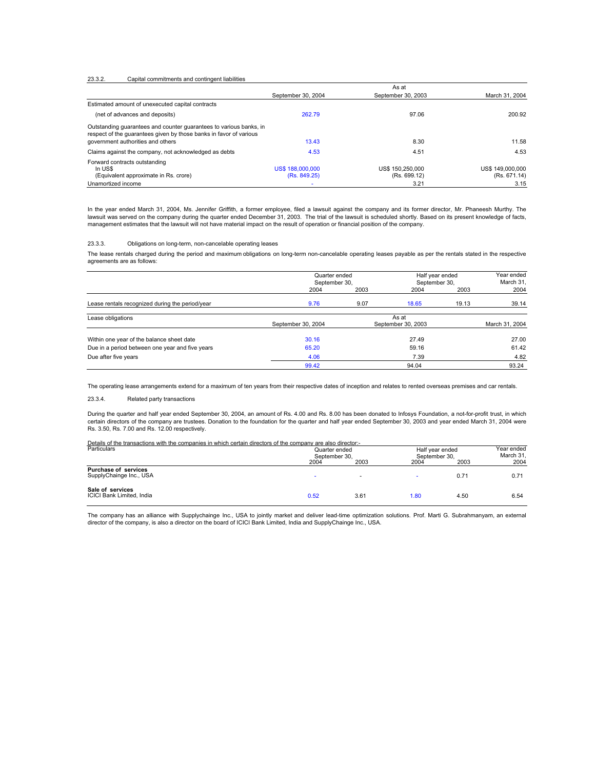#### 23.3.2. Capital commitments and contingent liabilities

|                                                                                                                                          | As at                                   |                                  |                                  |  |  |
|------------------------------------------------------------------------------------------------------------------------------------------|-----------------------------------------|----------------------------------|----------------------------------|--|--|
|                                                                                                                                          | September 30, 2004                      | September 30, 2003               | March 31, 2004                   |  |  |
| Estimated amount of unexecuted capital contracts                                                                                         |                                         |                                  |                                  |  |  |
| (net of advances and deposits)                                                                                                           | 262.79                                  | 97.06                            | 200.92                           |  |  |
| Outstanding quarantees and counter quarantees to various banks, in<br>respect of the quarantees given by those banks in favor of various |                                         |                                  |                                  |  |  |
| government authorities and others                                                                                                        | 13.43                                   | 8.30                             | 11.58                            |  |  |
| Claims against the company, not acknowledged as debts                                                                                    | 4.53                                    | 4.51                             | 4.53                             |  |  |
| Forward contracts outstanding<br>In US\$<br>(Equivalent approximate in Rs. crore)                                                        | <b>US\$ 188,000,000</b><br>(Rs. 849.25) | US\$ 150,250,000<br>(Rs. 699.12) | US\$ 149,000,000<br>(Rs. 671.14) |  |  |
| Unamortized income                                                                                                                       |                                         | 3.21                             | 3.15                             |  |  |

In the year ended March 31, 2004, Ms. Jennifer Griffith, a former employee, filed a lawsuit against the company and its former director, Mr. Phaneesh Murthy. The lawsuit was served on the company during the quarter ended December 31, 2003. The trial of the lawsuit is scheduled shortly. Based on its present knowledge of facts, management estimates that the lawsuit will not have material impact on the result of operation or financial position of the company.

#### 23.3.3. Obligations on long-term, non-cancelable operating leases

The lease rentals charged during the period and maximum obligations on long-term non-cancelable operating leases payable as per the rentals stated in the respective agreements are as follows:

|                                                 | Quarter ended<br>September 30, |      | Half year ended<br>September 30, |       | Year ended<br>March 31, |
|-------------------------------------------------|--------------------------------|------|----------------------------------|-------|-------------------------|
|                                                 | 2004                           | 2003 | 2004                             | 2003  | 2004                    |
| Lease rentals recognized during the period/year | 9.76                           | 9.07 | 18.65                            | 19.13 | 39.14                   |
| Lease obligations                               | September 30, 2004             |      | As at<br>September 30, 2003      |       | March 31, 2004          |
| Within one year of the balance sheet date       | 30.16                          |      | 27.49                            |       | 27.00                   |
| Due in a period between one year and five years | 65.20                          |      | 59.16                            |       | 61.42                   |
| Due after five years                            | 4.06                           |      | 7.39                             |       | 4.82                    |
|                                                 | 99.42                          |      | 94.04                            |       | 93.24                   |

The operating lease arrangements extend for a maximum of ten years from their respective dates of inception and relates to rented overseas premises and car rentals.

23.3.4. Related party transactions

During the quarter and half year ended September 30, 2004, an amount of Rs. 4.00 and Rs. 8.00 has been donated to Infosys Foundation, a not-for-profit trust, in which certain directors of the company are trustees. Donation to the foundation for the quarter and half year ended September 30, 2003 and year ended March 31, 2004 were Rs. 3.50, Rs. 7.00 and Rs. 12.00 respectively.

| Details of the transactions with the companies in which certain directors of the company are also director:- |             |
|--------------------------------------------------------------------------------------------------------------|-------------|
| <b>Dortioulore</b>                                                                                           | Oughbroaded |

| Particulars                                            | Quarter ended<br>September 30. |                          |      | Half year ended<br>September 30. |      |
|--------------------------------------------------------|--------------------------------|--------------------------|------|----------------------------------|------|
|                                                        | 2004                           | 2003                     | 2004 | 2003                             | 2004 |
| <b>Purchase of services</b><br>SupplyChainge Inc., USA | -                              | $\overline{\phantom{a}}$ |      | 0.71                             | 0.71 |
| Sale of services<br>ICICI Bank Limited, India          | 0.52                           | 3.61                     | 1.80 | 4.50                             | 6.54 |

The company has an alliance with Supplychainge Inc., USA to jointly market and deliver lead-time optimization solutions. Prof. Marti G. Subrahmanyam, an external director of the company, is also a director on the board of ICICI Bank Limited, India and SupplyChainge Inc., USA.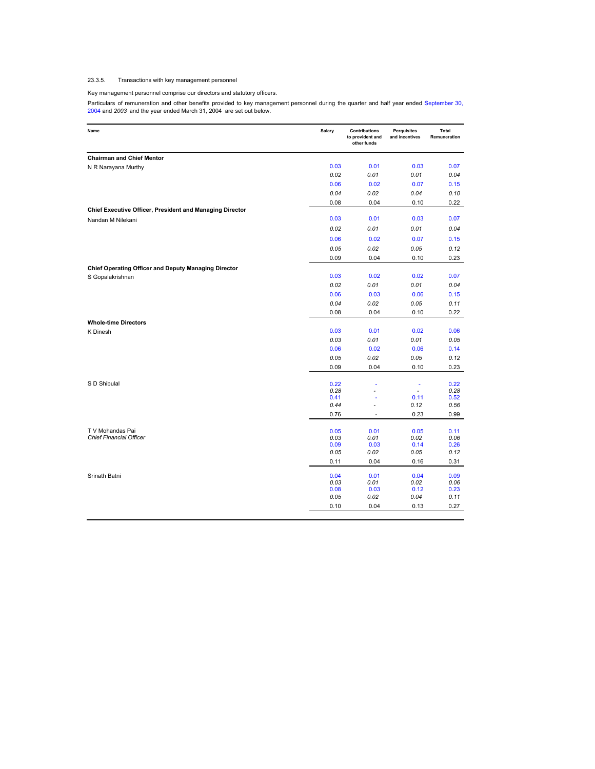# 23.3.5. Transactions with key management personnel

# Key management personnel comprise our directors and statutory officers.

Particulars of remuneration and other benefits provided to key management personnel during the quarter and half year ended September 30,<br>2004 and 2003 and the year ended March 31, 2004 are set out below.

| Name                                                     | Salary       | <b>Contributions</b><br>to provident and<br>other funds | Perquisites<br>and incentives | Total<br>Remuneration |
|----------------------------------------------------------|--------------|---------------------------------------------------------|-------------------------------|-----------------------|
| <b>Chairman and Chief Mentor</b>                         |              |                                                         |                               |                       |
| N R Narayana Murthy                                      | 0.03         | 0.01                                                    | 0.03                          | 0.07                  |
|                                                          | 0.02         | 0.01                                                    | 0.01                          | 0.04                  |
|                                                          | 0.06         | 0.02                                                    | 0.07                          | 0.15                  |
|                                                          | 0.04         | 0.02                                                    | 0.04                          | 0.10                  |
|                                                          | 0.08         | 0.04                                                    | 0.10                          | 0.22                  |
| Chief Executive Officer, President and Managing Director |              |                                                         |                               |                       |
| Nandan M Nilekani                                        | 0.03         | 0.01                                                    | 0.03                          | 0.07                  |
|                                                          | 0.02         | 0.01                                                    | 0.01                          | 0.04                  |
|                                                          | 0.06         | 0.02                                                    | 0.07                          | 0.15                  |
|                                                          | 0.05         | 0.02                                                    | 0.05                          | 0.12                  |
|                                                          | 0.09         | 0.04                                                    | 0.10                          | 0.23                  |
| Chief Operating Officer and Deputy Managing Director     |              |                                                         |                               |                       |
| S Gopalakrishnan                                         | 0.03         | 0.02                                                    | 0.02                          | 0.07                  |
|                                                          | 0.02         | 0.01                                                    | 0.01                          | 0.04                  |
|                                                          | 0.06         | 0.03                                                    | 0.06                          | 0.15                  |
|                                                          | 0.04         | 0.02                                                    | 0.05                          | 0.11                  |
|                                                          | 0.08         | 0.04                                                    | 0.10                          | 0.22                  |
| <b>Whole-time Directors</b>                              |              |                                                         |                               |                       |
| K Dinesh                                                 | 0.03         | 0.01                                                    | 0.02                          | 0.06                  |
|                                                          | 0.03         | 0.01                                                    | 0.01                          | 0.05                  |
|                                                          | 0.06         | 0.02                                                    | 0.06                          | 0.14                  |
|                                                          | 0.05         | 0.02                                                    | 0.05                          | 0.12                  |
|                                                          | 0.09         | 0.04                                                    | 0.10                          | 0.23                  |
|                                                          |              |                                                         |                               |                       |
| S D Shibulal                                             | 0.22<br>0.28 |                                                         | ٠<br>ä,                       | 0.22<br>0.28          |
|                                                          | 0.41         |                                                         | 0.11                          | 0.52                  |
|                                                          | 0.44         | ÷,                                                      | 0.12                          | 0.56                  |
|                                                          | 0.76         | $\overline{\phantom{a}}$                                | 0.23                          | 0.99                  |
|                                                          |              |                                                         |                               |                       |
| T V Mohandas Pai<br><b>Chief Financial Officer</b>       | 0.05<br>0.03 | 0.01<br>0.01                                            | 0.05<br>0.02                  | 0.11<br>0.06          |
|                                                          | 0.09         | 0.03                                                    | 0.14                          | 0.26                  |
|                                                          | 0.05         | 0.02                                                    | 0.05                          | 0.12                  |
|                                                          | 0.11         | 0.04                                                    | 0.16                          | 0.31                  |
| Srinath Batni                                            | 0.04         | 0.01                                                    | 0.04                          | 0.09                  |
|                                                          | 0.03         | 0.01                                                    | 0.02                          | 0.06                  |
|                                                          | 0.08<br>0.05 | 0.03<br>0.02                                            | 0.12<br>0.04                  | 0.23<br>0.11          |
|                                                          | 0.10         | 0.04                                                    | 0.13                          | 0.27                  |
|                                                          |              |                                                         |                               |                       |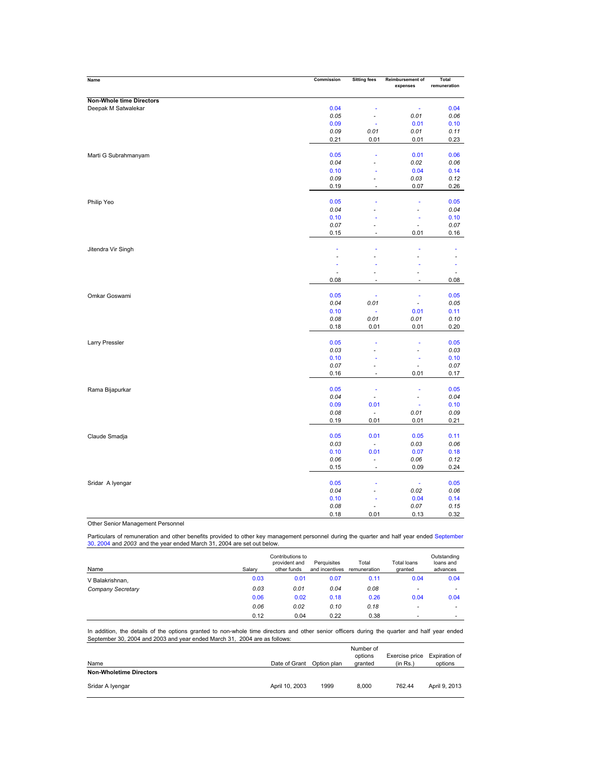| Name                     | Commission | <b>Sitting fees</b>      | Reimbursement of<br>expenses | Total<br>remuneration    |
|--------------------------|------------|--------------------------|------------------------------|--------------------------|
|                          |            |                          |                              |                          |
| Non-Whole time Directors |            |                          |                              |                          |
| Deepak M Satwalekar      | 0.04       |                          | ٠                            | 0.04                     |
|                          | 0.05       | ÷,                       | 0.01                         | 0.06                     |
|                          | 0.09       | š                        | 0.01<br>0.01                 | 0.10                     |
|                          | 0.09       | 0.01                     |                              | 0.11                     |
|                          | 0.21       | 0.01                     | 0.01                         | 0.23                     |
| Marti G Subrahmanyam     | 0.05       | ä,                       | 0.01                         | 0.06                     |
|                          | 0.04       |                          | 0.02                         | 0.06                     |
|                          | 0.10       |                          | 0.04                         | 0.14                     |
|                          | 0.09       | ä,                       | 0.03                         | 0.12                     |
|                          | 0.19       | ä,                       | 0.07                         | 0.26                     |
|                          |            |                          |                              |                          |
| Philip Yeo               | 0.05       |                          |                              | 0.05                     |
|                          | 0.04       |                          | $\blacksquare$               | 0.04                     |
|                          | 0.10       | ä,                       | ÷                            | 0.10                     |
|                          | 0.07       | -                        | $\blacksquare$               | 0.07                     |
|                          | 0.15       | ÷                        | 0.01                         | 0.16                     |
| Jitendra Vir Singh       |            | ä,                       |                              |                          |
|                          | ÷,         |                          |                              |                          |
|                          |            |                          |                              |                          |
|                          |            |                          | $\overline{\phantom{a}}$     | $\overline{\phantom{a}}$ |
|                          | 0.08       | ÷,                       | ä,                           | 0.08                     |
|                          |            |                          |                              |                          |
| Omkar Goswami            | 0.05       | ä                        | ÷                            | 0.05                     |
|                          | 0.04       | 0.01                     | ÷,                           | 0.05                     |
|                          | 0.10       | ä,                       | 0.01                         | 0.11                     |
|                          | 0.08       | 0.01                     | 0.01                         | 0.10                     |
|                          | 0.18       | 0.01                     | 0.01                         | 0.20                     |
| Larry Pressler           | 0.05       | ä,                       | ×                            | 0.05                     |
|                          | 0.03       | L.                       | ä,                           | 0.03                     |
|                          | 0.10       |                          | ÷                            | 0.10                     |
|                          | 0.07       | $\overline{a}$           | ÷,                           | 0.07                     |
|                          | 0.16       | ÷,                       | 0.01                         | 0.17                     |
|                          |            |                          |                              |                          |
| Rama Bijapurkar          | 0.05       | ä,                       | ÷                            | 0.05                     |
|                          | 0.04       | $\blacksquare$           | $\blacksquare$               | 0.04                     |
|                          | 0.09       | 0.01                     |                              | 0.10                     |
|                          | 0.08       | $\overline{\phantom{a}}$ | 0.01                         | 0.09                     |
|                          | 0.19       | 0.01                     | 0.01                         | 0.21                     |
| Claude Smadja            | 0.05       | 0.01                     | 0.05                         | 0.11                     |
|                          | 0.03       | $\overline{\phantom{a}}$ | 0.03                         | 0.06                     |
|                          | 0.10       | 0.01                     | 0.07                         | 0.18                     |
|                          | 0.06       | ÷,                       | 0.06                         | 0.12                     |
|                          | 0.15       | ÷,                       | 0.09                         | 0.24                     |
|                          |            |                          |                              |                          |
| Sridar A Iyengar         | 0.05       | ä,                       | ä,                           | 0.05                     |
|                          | 0.04       |                          | 0.02                         | 0.06                     |
|                          | 0.10       |                          | 0.04                         | 0.14                     |
|                          | 0.08       | ä,                       | 0.07                         | 0.15                     |
|                          | 0.18       | 0.01                     | 0.13                         | 0.32                     |

Other Senior Management Personnel

Particulars of remuneration and other benefits provided to other key management personnel during the quarter and half year ended September<br>30, 2004 and *2003* and the year ended March 31, 2004 are set out below.

| Name              | Salarv | Contributions to<br>provident and<br>other funds | Perquisites<br>and incentives | Total<br>remuneration | Total loans<br>granted   | Outstanding<br>loans and<br>advances |
|-------------------|--------|--------------------------------------------------|-------------------------------|-----------------------|--------------------------|--------------------------------------|
| V Balakrishnan,   | 0.03   | 0.01                                             | 0.07                          | 0.11                  | 0.04                     | 0.04                                 |
| Company Secretary | 0.03   | 0.01                                             | 0.04                          | 0.08                  | $\overline{\phantom{a}}$ | -                                    |
|                   | 0.06   | 0.02                                             | 0.18                          | 0.26                  | 0.04                     | 0.04                                 |
|                   | 0.06   | 0.02                                             | 0.10                          | 0.18                  | $\overline{\phantom{0}}$ |                                      |
|                   | 0.12   | 0.04                                             | 0.22                          | 0.38                  | $\overline{\phantom{0}}$ | -                                    |

In addition, the details of the options granted to non-whole time directors and other senior officers during the quarter and half year ended September 30, 2004 and 2003 and year ended March 31, 2004 are as follows:

| Name                           | Date of Grant  | Option plan | Number of<br>options<br>granted | Exercise price Expiration of<br>(in Rs.) | options       |
|--------------------------------|----------------|-------------|---------------------------------|------------------------------------------|---------------|
| <b>Non-Wholetime Directors</b> |                |             |                                 |                                          |               |
| Sridar A Iyengar               | April 10, 2003 | 1999        | 8.000                           | 762.44                                   | April 9, 2013 |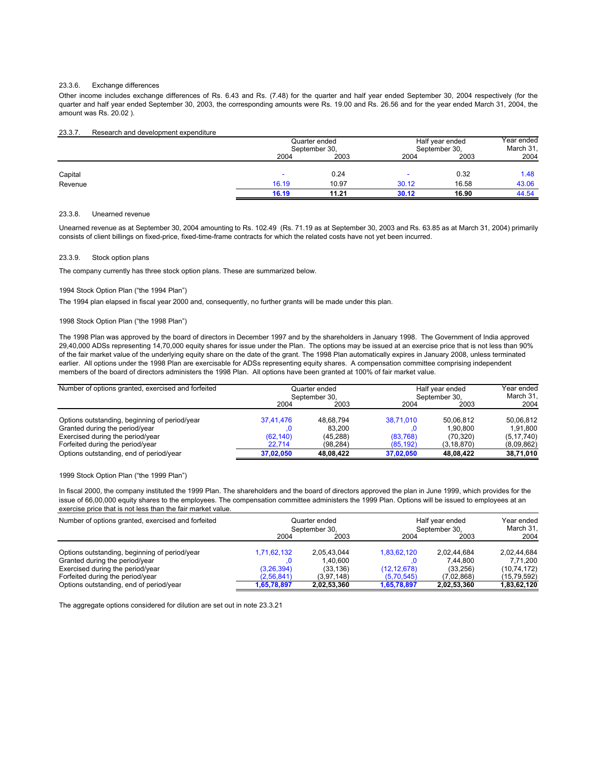#### 23.3.6. Exchange differences

Other income includes exchange differences of Rs. 6.43 and Rs. (7.48) for the quarter and half year ended September 30, 2004 respectively (for the quarter and half year ended September 30, 2003, the corresponding amounts were Rs. 19.00 and Rs. 26.56 and for the year ended March 31, 2004, the amount was Rs. 20.02 ).

## 23.3.7. Research and development expenditure

|         | Half year ended<br>Quarter ended<br>September 30,<br>September 30, |       | Year ended<br>March 31, |       |       |
|---------|--------------------------------------------------------------------|-------|-------------------------|-------|-------|
|         | 2004                                                               | 2003  | 2004                    | 2003  | 2004  |
| Capital | $\overline{\phantom{a}}$                                           | 0.24  |                         | 0.32  | 1.48  |
| Revenue | 16.19                                                              | 10.97 | 30.12                   | 16.58 | 43.06 |
|         | 16.19                                                              | 11.21 | 30.12                   | 16.90 | 44.54 |

#### 23.3.8. Unearned revenue

Unearned revenue as at September 30, 2004 amounting to Rs. 102.49 (Rs. 71.19 as at September 30, 2003 and Rs. 63.85 as at March 31, 2004) primarily consists of client billings on fixed-price, fixed-time-frame contracts for which the related costs have not yet been incurred.

#### 23.3.9. Stock option plans

The company currently has three stock option plans. These are summarized below.

## 1994 Stock Option Plan ("the 1994 Plan")

The 1994 plan elapsed in fiscal year 2000 and, consequently, no further grants will be made under this plan.

## 1998 Stock Option Plan ("the 1998 Plan")

The 1998 Plan was approved by the board of directors in December 1997 and by the shareholders in January 1998. The Government of India approved 29,40,000 ADSs representing 14,70,000 equity shares for issue under the Plan. The options may be issued at an exercise price that is not less than 90% of the fair market value of the underlying equity share on the date of the grant. The 1998 Plan automatically expires in January 2008, unless terminated earlier. All options under the 1998 Plan are exercisable for ADSs representing equity shares. A compensation committee comprising independent members of the board of directors administers the 1998 Plan. All options have been granted at 100% of fair market value.

| Number of options granted, exercised and forfeited | Quarter ended<br>September 30. |           |           | Half year ended<br>September 30. | Year ended<br>March 31, |
|----------------------------------------------------|--------------------------------|-----------|-----------|----------------------------------|-------------------------|
|                                                    | 2004                           | 2003      | 2004      | 2003                             | 2004                    |
| Options outstanding, beginning of period/year      | 37.41.476                      | 48.68.794 | 38.71.010 | 50.06.812                        | 50.06.812               |
| Granted during the period/year                     |                                | 83.200    |           | 1.90.800                         | 1.91.800                |
| Exercised during the period/year                   | (62, 140)                      | (45.288)  | (83,768)  | (70, 320)                        | (5, 17, 740)            |
| Forfeited during the period/year                   | 22.714                         | (98.284)  | (85, 192) | (3, 18, 870)                     | (8,09,862)              |
| Options outstanding, end of period/year            | 37.02.050                      | 48.08.422 | 37,02,050 | 48.08.422                        | 38,71,010               |

1999 Stock Option Plan ("the 1999 Plan")

In fiscal 2000, the company instituted the 1999 Plan. The shareholders and the board of directors approved the plan in June 1999, which provides for the issue of 66,00,000 equity shares to the employees. The compensation committee administers the 1999 Plan. Options will be issued to employees at an exercise price that is not less than the fair market value.

| Number of options granted, exercised and forfeited | Quarter ended<br>September 30. |             |             | Half year ended<br>September 30. | Year ended<br>March 31, |
|----------------------------------------------------|--------------------------------|-------------|-------------|----------------------------------|-------------------------|
|                                                    | 2004                           | 2003        | 2004        | 2003                             | 2004                    |
| Options outstanding, beginning of period/year      | 1,71,62,132                    | 2.05.43.044 | 1,83,62,120 | 2.02.44.684                      | 2.02.44.684             |
| Granted during the period/year                     |                                | 1.40.600    |             | 7.44.800                         | 7.71.200                |
| Exercised during the period/year                   | (3,26,394)                     | (33.136)    | (12.12.678) | (33.256)                         | (10, 74, 172)           |
| Forfeited during the period/year                   | (2.56.841)                     | (3.97.148)  | (5,70,545)  | (7.02.868)                       | (15, 79, 592)           |
| Options outstanding, end of period/year            | 1.65.78.897                    | 2.02.53.360 | 1.65.78.897 | 2.02.53.360                      | 1,83,62,120             |

The aggregate options considered for dilution are set out in note 23.3.21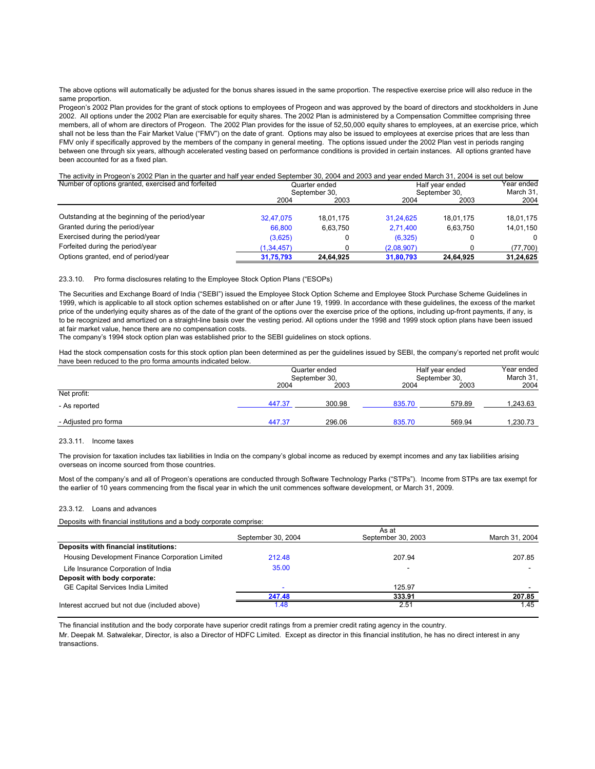The above options will automatically be adjusted for the bonus shares issued in the same proportion. The respective exercise price will also reduce in the same proportion.

Progeon's 2002 Plan provides for the grant of stock options to employees of Progeon and was approved by the board of directors and stockholders in June 2002. All options under the 2002 Plan are exercisable for equity shares. The 2002 Plan is administered by a Compensation Committee comprising three members, all of whom are directors of Progeon. The 2002 Plan provides for the issue of 52,50,000 equity shares to employees, at an exercise price, which shall not be less than the Fair Market Value ("FMV") on the date of grant. Options may also be issued to employees at exercise prices that are less than FMV only if specifically approved by the members of the company in general meeting. The options issued under the 2002 Plan vest in periods ranging between one through six years, although accelerated vesting based on performance conditions is provided in certain instances. All options granted have been accounted for as a fixed plan.

The activity in Progeon's 2002 Plan in the quarter and half year ended September 30, 2004 and 2003 and year ended March 31, 2004 is set out below

| Number of options granted, exercised and forfeited |              | Quarter ended |            | Half year ended | Year ended<br>March 31, |  |
|----------------------------------------------------|--------------|---------------|------------|-----------------|-------------------------|--|
|                                                    |              | September 30. |            | September 30.   |                         |  |
|                                                    | 2004         | 2003          | 2004       | 2003            | 2004                    |  |
| Outstanding at the beginning of the period/year    | 32.47.075    | 18.01.175     | 31.24.625  | 18.01.175       | 18.01.175               |  |
| Granted during the period/year                     | 66,800       | 6.63.750      | 2.71.400   | 6.63.750        | 14.01.150               |  |
| Exercised during the period/year                   | (3,625)      |               | (6,325)    |                 | $\Omega$                |  |
| Forfeited during the period/year                   | (1, 34, 457) |               | (2,08,907) |                 | (77, 700)               |  |
| Options granted, end of period/year                | 31,75,793    | 24,64,925     | 31,80,793  | 24,64,925       | 31,24,625               |  |

23.3.10. Pro forma disclosures relating to the Employee Stock Option Plans ("ESOPs)

The Securities and Exchange Board of India ("SEBI") issued the Employee Stock Option Scheme and Employee Stock Purchase Scheme Guidelines in 1999, which is applicable to all stock option schemes established on or after June 19, 1999. In accordance with these guidelines, the excess of the market price of the underlying equity shares as of the date of the grant of the options over the exercise price of the options, including up-front payments, if any, is to be recognized and amortized on a straight-line basis over the vesting period. All options under the 1998 and 1999 stock option plans have been issued at fair market value, hence there are no compensation costs.

The company's 1994 stock option plan was established prior to the SEBI guidelines on stock options.

Had the stock compensation costs for this stock option plan been determined as per the guidelines issued by SEBI, the company's reported net profit would have been reduced to the pro forma amounts indicated below.

|                      |        | Quarter ended |        | Half year ended |          |  |
|----------------------|--------|---------------|--------|-----------------|----------|--|
|                      |        | September 30, |        | September 30,   |          |  |
|                      | 2004   | 2003          | 2004   | 2003            | 2004     |  |
| Net profit:          |        |               |        |                 |          |  |
| - As reported        | 447.37 | 300.98        | 835.70 | 579.89          | 1,243.63 |  |
| - Adjusted pro forma | 447.37 | 296.06        | 835.70 | 569.94          | 1,230.73 |  |

## 23.3.11. Income taxes

The provision for taxation includes tax liabilities in India on the company's global income as reduced by exempt incomes and any tax liabilities arising overseas on income sourced from those countries.

Most of the company's and all of Progeon's operations are conducted through Software Technology Parks ("STPs"). Income from STPs are tax exempt for the earlier of 10 years commencing from the fiscal year in which the unit commences software development, or March 31, 2009.

## 23.3.12. Loans and advances

Deposits with financial institutions and a body corporate comprise:

|                                                 | September 30, 2004 | As at<br>September 30, 2003 | March 31, 2004 |
|-------------------------------------------------|--------------------|-----------------------------|----------------|
| Deposits with financial institutions:           |                    |                             |                |
| Housing Development Finance Corporation Limited | 212.48             | 207.94                      | 207.85         |
| Life Insurance Corporation of India             | 35.00              |                             |                |
| Deposit with body corporate:                    |                    |                             |                |
| GE Capital Services India Limited               |                    | 125.97                      |                |
|                                                 | 247.48             | 333.91                      | 207.85         |
| Interest accrued but not due (included above)   | 1.48               | 2.51                        | 1.45           |

The financial institution and the body corporate have superior credit ratings from a premier credit rating agency in the country.

Mr. Deepak M. Satwalekar, Director, is also a Director of HDFC Limited. Except as director in this financial institution, he has no direct interest in any transactions.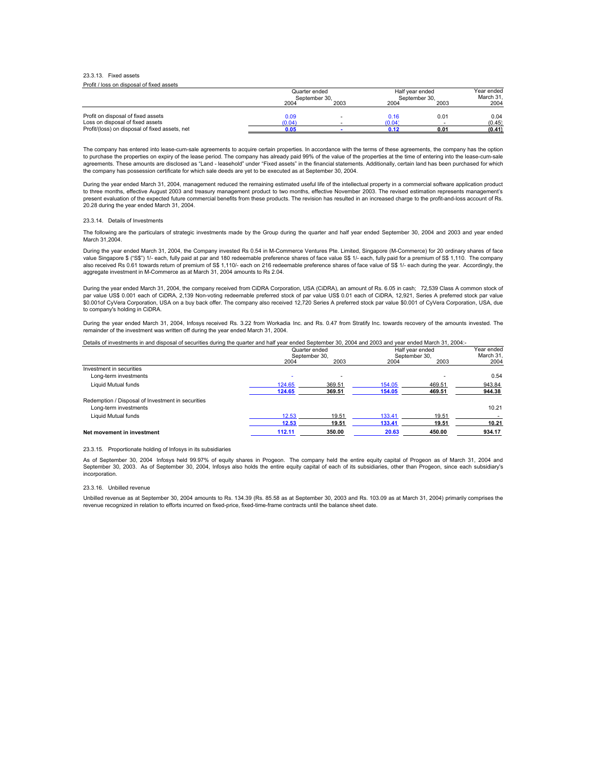#### 23.3.13. Fixed assets Profit / loss on disposal of fixed assets

| T TUITT TUSS UIT GISDUSGI UI TIACU GSSCIS      |                                |      |                                  |      |                         |  |
|------------------------------------------------|--------------------------------|------|----------------------------------|------|-------------------------|--|
|                                                | Quarter ended<br>September 30. |      | Half vear ended<br>September 30. |      | Year ended<br>March 31. |  |
|                                                | 2004                           | 2003 | 2004                             | 2003 | 2004                    |  |
| Profit on disposal of fixed assets             | 0.09                           |      | 0.16                             | 0.01 | 0.04                    |  |
| Loss on disposal of fixed assets               | (0.04)                         |      | (0.04)                           |      | (0.45)                  |  |
| Profit/(loss) on disposal of fixed assets, net | 0.05                           |      |                                  | 0.01 | (0.41)                  |  |

The company has entered into lease-cum-sale agreements to acquire certain properties. In accordance with the terms of these agreements, the company has the option to purchase the properties on expiry of the lease period. The company has already paid 99% of the value of the properties at the time of entering into the lease-cum-sale agreements. These amounts are disclosed as "Land - leasehold" under "Fixed assets" in the financial statements. Additionally, certain land has been purchased for which the company has possession certificate for which sale deeds are yet to be executed as at September 30, 2004.

During the year ended March 31, 2004, management reduced the remaining estimated useful life of the intellectual property in a commercial software application product to three months, effective August 2003 and treasury management product to two months, effective November 2003. The revised estimation represents management's<br>present evaluation of the expected future commercial benefits fr 20.28 during the year ended March 31, 2004.

## 23.3.14. Details of Investments

The following are the particulars of strategic investments made by the Group during the quarter and half year ended September 30, 2004 and 2003 and year ended March 31,2004

During the year ended March 31, 2004, the Company invested Rs 0.54 in M-Commerce Ventures Pte. Limited, Singapore (M-Commerce) for 20 ordinary shares of face value Singapore \$ ("S\$") 1/- each, fully paid at par and 180 redeemable preference shares of face value S\$ 1/- each, fully paid for a premium of S\$ 1,110. The company also received Rs 0.61 towards return of premium of S\$ 1,110/- each on 216 redeemable preference shares of face value of S\$ 1/- each during the year. Accordingly, the aggregate investment in M-Commerce as at March 31, 2004 amounts to Rs 2.04.

During the year ended March 31, 2004, the company received from CiDRA Corporation, USA (CiDRA), an amount of Rs. 6.05 in cash; 72,539 Class A common stock of<br>par value US\$ 0.001 each of CiDRA, 2,139 Non-voting redeemable \$0.001of CyVera Corporation, USA on a buy back offer. The company also received 12,720 Series A preferred stock par value \$0.001 of CyVera Corporation, USA, due to company's holding in CiDRA.

During the year ended March 31, 2004, Infosys received Rs. 3.22 from Workadia Inc. and Rs. 0.47 from Stratify Inc. towards recovery of the amounts invested. The remainder of the investment was written off during the year ended March 31, 2004.

## Details of investments in and disposal of securities during the quarter and half year ended September 30, 2004 and 2003 and year ended March 31, 2004:-

|                                                   | Quarter ended |               |               | Half vear ended          | Year ended |
|---------------------------------------------------|---------------|---------------|---------------|--------------------------|------------|
|                                                   |               | September 30. | September 30. |                          | March 31.  |
|                                                   | 2004          | 2003          | 2004          | 2003                     | 2004       |
| Investment in securities                          |               |               |               |                          |            |
| Long-term investments                             |               |               |               | $\overline{\phantom{a}}$ | 0.54       |
| Liquid Mutual funds                               | 124.65        | 369.51        | 154.05        | 469.51                   | 943.84     |
|                                                   | 124.65        | 369.51        | 154.05        | 469.51                   | 944.38     |
| Redemption / Disposal of Investment in securities |               |               |               |                          |            |
| Long-term investments                             |               |               |               |                          | 10.21      |
| Liquid Mutual funds                               | 12.53         | 19.51         | 133.41        | 19.51                    |            |
|                                                   | 12.53         | 19.51         | 133.41        | 19.51                    | 10.21      |
| Net movement in investment                        | 112.11        | 350.00        | 20.63         | 450.00                   | 934.17     |

## 23.3.15. Proportionate holding of Infosys in its subsidiaries

As of September 30, 2004 Infosys held 99.97% of equity shares in Progeon. The company held the entire equity capital of Progeon as of March 31, 2004 and September 30, 2003. As of September 30, 2004, Infosys also holds the entire equity capital of each of its subsidiaries, other than Progeon, since each subsidiary's incorporation.

#### 23.3.16. Unbilled revenue

Unbilled revenue as at September 30, 2004 amounts to Rs. 134.39 (Rs. 85.58 as at September 30, 2003 and Rs. 103.09 as at March 31, 2004) primarily comprises the revenue recognized in relation to efforts incurred on fixed-price, fixed-time-frame contracts until the balance sheet date.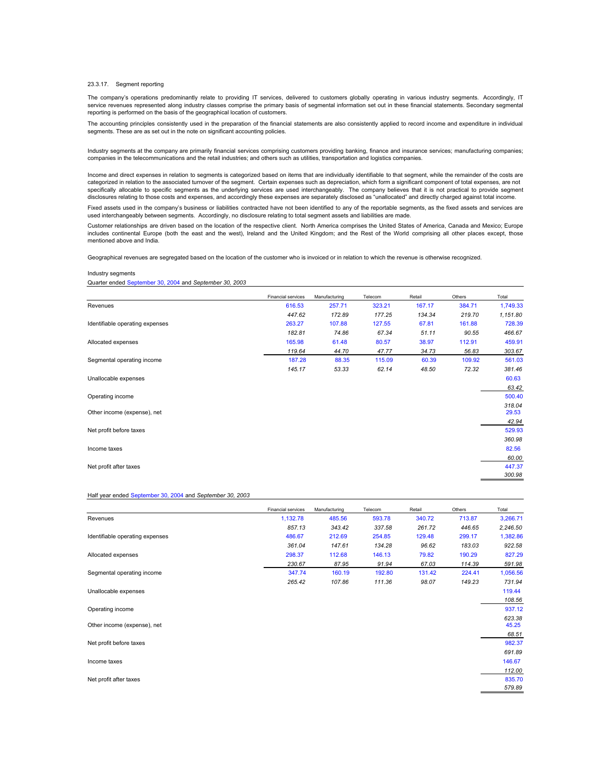#### 23.3.17. Segment reporting

The company's operations predominantly relate to providing IT services, delivered to customers globally operating in various industry segments. Accordingly, IT service revenues represented along industry classes comprise the primary basis of segmental information set out in these financial statements. Secondary segmental reporting is performed on the basis of the geographical location of customers.

The accounting principles consistently used in the preparation of the financial statements are also consistently applied to record income and expenditure in individual segments. These are as set out in the note on significant accounting policies.

Industry segments at the company are primarily financial services comprising customers providing banking, finance and insurance services; manufacturing companies; companies in the telecommunications and the retail industries; and others such as utilities, transportation and logistics companies.

Income and direct expenses in relation to segments is categorized based on items that are individually identifiable to that segment, while the remainder of the costs are categorized in relation to the associated turnover of the segment. Certain expenses such as depreciation, which form a significant component of total expenses, are not specifically allocable to specific segments as the underlying services are used interchangeably. The company believes that it is not practical to provide segment disclosures relating to those costs and expenses, and accordingly these expenses are separately disclosed as "unallocated" and directly charged against total income.

Fixed assets used in the company's business or liabilities contracted have not been identified to any of the reportable segments, as the fixed assets and services are used interchangeably between segments. Accordingly, no disclosure relating to total segment assets and liabilities are made.

Customer relationships are driven based on the location of the respective client. North America comprises the United States of America, Canada and Mexico; Europe includes continental Europe (both the east and the west), Ireland and the United Kingdom; and the Rest of the World comprising all other places except, those mentioned above and India.

Geographical revenues are segregated based on the location of the customer who is invoiced or in relation to which the revenue is otherwise recognized.

#### Industry segments

Quarter ended September 30, 2004 and *September 30, 2003*

|                                 | Financial services | Manufacturing | Telecom | Retail | Others | Total    |
|---------------------------------|--------------------|---------------|---------|--------|--------|----------|
| Revenues                        | 616.53             | 257.71        | 323.21  | 167.17 | 384.71 | 1,749.33 |
|                                 | 447.62             | 172.89        | 177.25  | 134.34 | 219.70 | 1,151.80 |
| Identifiable operating expenses | 263.27             | 107.88        | 127.55  | 67.81  | 161.88 | 728.39   |
|                                 | 182.81             | 74.86         | 67.34   | 51.11  | 90.55  | 466.67   |
| Allocated expenses              | 165.98             | 61.48         | 80.57   | 38.97  | 112.91 | 459.91   |
|                                 | 119.64             | 44.70         | 47.77   | 34.73  | 56.83  | 303.67   |
| Segmental operating income      | 187.28             | 88.35         | 115.09  | 60.39  | 109.92 | 561.03   |
|                                 | 145.17             | 53.33         | 62.14   | 48.50  | 72.32  | 381.46   |
| Unallocable expenses            |                    |               |         |        |        | 60.63    |
|                                 |                    |               |         |        |        | 63.42    |
| Operating income                |                    |               |         |        |        | 500.40   |
|                                 |                    |               |         |        |        | 318.04   |
| Other income (expense), net     |                    |               |         |        |        | 29.53    |
|                                 |                    |               |         |        |        | 42.94    |
| Net profit before taxes         |                    |               |         |        |        | 529.93   |
|                                 |                    |               |         |        |        | 360.98   |
| Income taxes                    |                    |               |         |        |        | 82.56    |
|                                 |                    |               |         |        |        | 60.00    |
| Net profit after taxes          |                    |               |         |        |        | 447.37   |
|                                 |                    |               |         |        |        | 300.98   |

## Half year ended September 30, 2004 and *September 30, 2003*

|                                 | <b>Financial services</b> | Manufacturing | Telecom | Retail | Others | Total    |
|---------------------------------|---------------------------|---------------|---------|--------|--------|----------|
| Revenues                        | 1,132.78                  | 485.56        | 593.78  | 340.72 | 713.87 | 3,266.71 |
|                                 | 857.13                    | 343.42        | 337.58  | 261.72 | 446.65 | 2,246.50 |
| Identifiable operating expenses | 486.67                    | 212.69        | 254.85  | 129.48 | 299.17 | 1,382.86 |
|                                 | 361.04                    | 147.61        | 134.28  | 96.62  | 183.03 | 922.58   |
| Allocated expenses              | 298.37                    | 112.68        | 146.13  | 79.82  | 190.29 | 827.29   |
|                                 | 230.67                    | 87.95         | 91.94   | 67.03  | 114.39 | 591.98   |
| Segmental operating income      | 347.74                    | 160.19        | 192.80  | 131.42 | 224.41 | 1,056.56 |
|                                 | 265.42                    | 107.86        | 111.36  | 98.07  | 149.23 | 731.94   |
| Unallocable expenses            |                           |               |         |        |        | 119.44   |
|                                 |                           |               |         |        |        | 108.56   |
| Operating income                |                           |               |         |        |        | 937.12   |
|                                 |                           |               |         |        |        | 623.38   |
| Other income (expense), net     |                           |               |         |        |        | 45.25    |
|                                 |                           |               |         |        |        | 68.51    |
| Net profit before taxes         |                           |               |         |        |        | 982.37   |
|                                 |                           |               |         |        |        | 691.89   |
| Income taxes                    |                           |               |         |        |        | 146.67   |
|                                 |                           |               |         |        |        | 112.00   |
| Net profit after taxes          |                           |               |         |        |        | 835.70   |
|                                 |                           |               |         |        |        | 579.89   |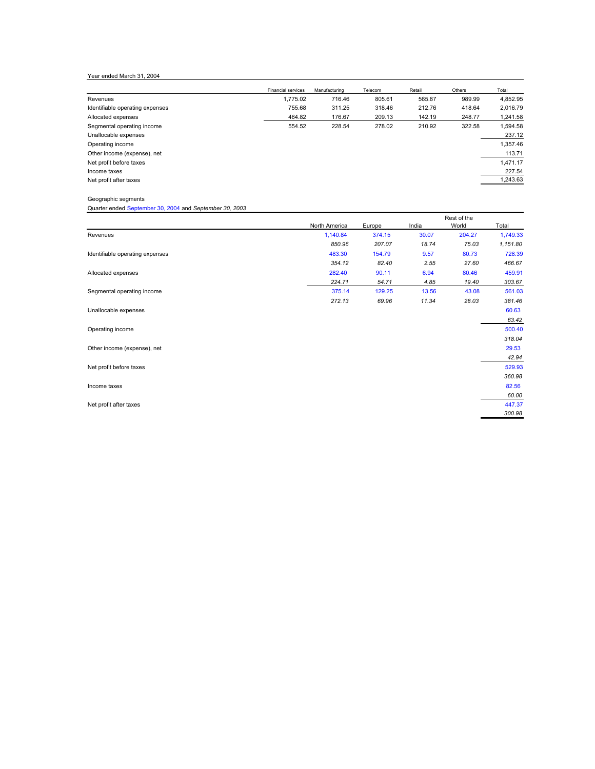Year ended March 31, 2004

|                                 | Financial services | Manufacturing | Telecom | Retail | Others | Total    |
|---------------------------------|--------------------|---------------|---------|--------|--------|----------|
| Revenues                        | 1.775.02           | 716.46        | 805.61  | 565.87 | 989.99 | 4,852.95 |
| Identifiable operating expenses | 755.68             | 311.25        | 318.46  | 212.76 | 418.64 | 2,016.79 |
| Allocated expenses              | 464.82             | 176.67        | 209.13  | 142.19 | 248.77 | 1,241.58 |
| Segmental operating income      | 554.52             | 228.54        | 278.02  | 210.92 | 322.58 | 1.594.58 |
| Unallocable expenses            |                    |               |         |        |        | 237.12   |
| Operating income                |                    |               |         |        |        | 1,357.46 |
| Other income (expense), net     |                    |               |         |        |        | 113.71   |
| Net profit before taxes         |                    |               |         |        |        | 1,471.17 |
| Income taxes                    |                    |               |         |        |        | 227.54   |
| Net profit after taxes          |                    |               |         |        |        | 1,243.63 |
|                                 |                    |               |         |        |        |          |

Geographic segments

Quarter ended September 30, 2004 and *September 30, 2003*

|                                 | North America | Europe | India | World  | Total    |
|---------------------------------|---------------|--------|-------|--------|----------|
| Revenues                        | 1,140.84      | 374.15 | 30.07 | 204.27 | 1,749.33 |
|                                 | 850.96        | 207.07 | 18.74 | 75.03  | 1,151.80 |
| Identifiable operating expenses | 483.30        | 154.79 | 9.57  | 80.73  | 728.39   |
|                                 | 354.12        | 82.40  | 2.55  | 27.60  | 466.67   |
| Allocated expenses              | 282.40        | 90.11  | 6.94  | 80.46  | 459.91   |
|                                 | 224.71        | 54.71  | 4.85  | 19.40  | 303.67   |
| Segmental operating income      | 375.14        | 129.25 | 13.56 | 43.08  | 561.03   |
|                                 | 272.13        | 69.96  | 11.34 | 28.03  | 381.46   |
| Unallocable expenses            |               |        |       |        | 60.63    |
|                                 |               |        |       |        | 63.42    |
| Operating income                |               |        |       |        | 500.40   |
|                                 |               |        |       |        | 318.04   |
| Other income (expense), net     |               |        |       |        | 29.53    |
|                                 |               |        |       |        | 42.94    |
| Net profit before taxes         |               |        |       |        | 529.93   |
|                                 |               |        |       |        | 360.98   |
| Income taxes                    |               |        |       |        | 82.56    |
|                                 |               |        |       |        | 60.00    |
| Net profit after taxes          |               |        |       |        | 447.37   |
|                                 |               |        |       |        | 300.98   |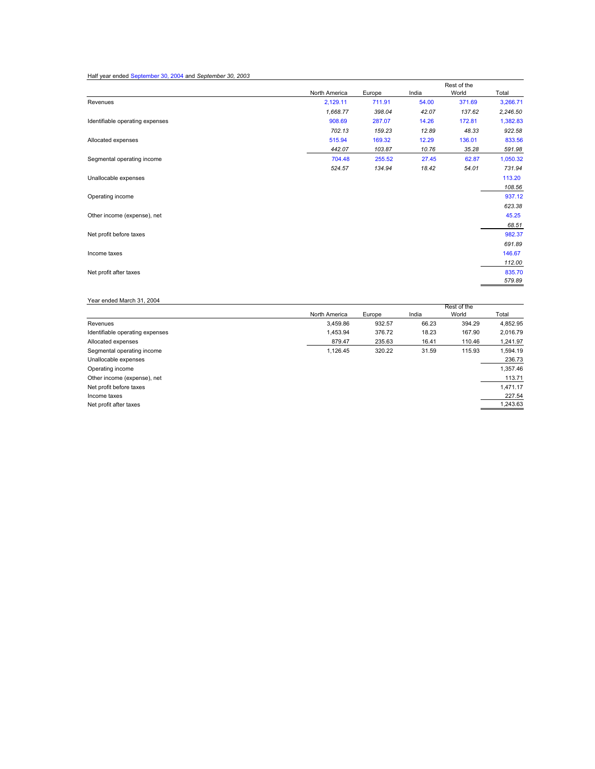# Half year ended September 30, 2004 and *September 30, 2003*

|                                 |               |        |       | Rest of the |          |  |
|---------------------------------|---------------|--------|-------|-------------|----------|--|
|                                 | North America | Europe | India | World       | Total    |  |
| Revenues                        | 2,129.11      | 711.91 | 54.00 | 371.69      | 3,266.71 |  |
|                                 | 1,668.77      | 398.04 | 42.07 | 137.62      | 2,246.50 |  |
| Identifiable operating expenses | 908.69        | 287.07 | 14.26 | 172.81      | 1,382.83 |  |
|                                 | 702.13        | 159.23 | 12.89 | 48.33       | 922.58   |  |
| Allocated expenses              | 515.94        | 169.32 | 12.29 | 136.01      | 833.56   |  |
|                                 | 442.07        | 103.87 | 10.76 | 35.28       | 591.98   |  |
| Segmental operating income      | 704.48        | 255.52 | 27.45 | 62.87       | 1,050.32 |  |
|                                 | 524.57        | 134.94 | 18.42 | 54.01       | 731.94   |  |
| Unallocable expenses            |               |        |       |             | 113.20   |  |
|                                 |               |        |       |             | 108.56   |  |
| Operating income                |               |        |       |             | 937.12   |  |
|                                 |               |        |       |             | 623.38   |  |
| Other income (expense), net     |               |        |       |             | 45.25    |  |
|                                 |               |        |       |             | 68.51    |  |
| Net profit before taxes         |               |        |       |             | 982.37   |  |
|                                 |               |        |       |             | 691.89   |  |
| Income taxes                    |               |        |       |             | 146.67   |  |
|                                 |               |        |       |             | 112.00   |  |
| Net profit after taxes          |               |        |       |             | 835.70   |  |
|                                 |               |        |       |             | 579.89   |  |

# Year ended March 31, 2004

|                                 |               |        |       | Rest of the |          |
|---------------------------------|---------------|--------|-------|-------------|----------|
|                                 | North America | Europe | India | World       | Total    |
| Revenues                        | 3.459.86      | 932.57 | 66.23 | 394.29      | 4,852.95 |
| Identifiable operating expenses | 1,453.94      | 376.72 | 18.23 | 167.90      | 2.016.79 |
| Allocated expenses              | 879.47        | 235.63 | 16.41 | 110.46      | 1,241.97 |
| Segmental operating income      | 1.126.45      | 320.22 | 31.59 | 115.93      | 1,594.19 |
| Unallocable expenses            |               |        |       |             | 236.73   |
| Operating income                |               |        |       |             | 1,357.46 |
| Other income (expense), net     |               |        |       |             | 113.71   |
| Net profit before taxes         |               |        |       |             | 1,471.17 |
| Income taxes                    |               |        |       |             | 227.54   |
| Net profit after taxes          |               |        |       |             | 1,243.63 |
|                                 |               |        |       |             |          |